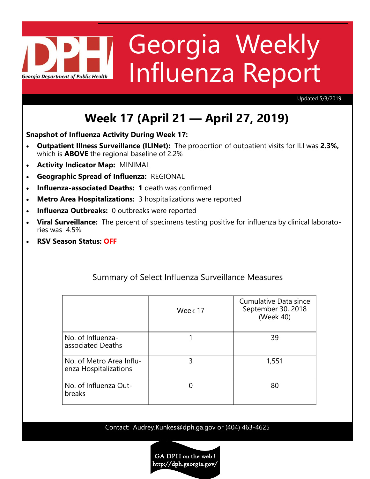# Georgia Weekly Influenza Report **Georgia Department of Public Health**

Updated 5/3/2019

# **Week 17 (April 21 — April 27, 2019)**

**Snapshot of Influenza Activity During Week 17:**

- **Outpatient Illness Surveillance (ILINet):** The proportion of outpatient visits for ILI was **2.3%,**  which is **ABOVE** the regional baseline of 2.2%
- **Activity Indicator Map:** MINIMAL
- **Geographic Spread of Influenza:** REGIONAL
- **Influenza-associated Deaths: 1** death was confirmed
- **Metro Area Hospitalizations:** 3 hospitalizations were reported
- **Influenza Outbreaks: 0 outbreaks were reported**
- **Viral Surveillance:** The percent of specimens testing positive for influenza by clinical laboratories was 4.5%
- **RSV Season Status: OFF**

|                                                   | Week 17 | <b>Cumulative Data since</b><br>September 30, 2018<br>(Week 40) |
|---------------------------------------------------|---------|-----------------------------------------------------------------|
| No. of Influenza-<br>associated Deaths            |         | 39                                                              |
| No. of Metro Area Influ-<br>enza Hospitalizations | 3       | 1,551                                                           |
| No. of Influenza Out-<br>breaks                   |         | 80                                                              |

#### Summary of Select Influenza Surveillance Measures

Contact: Audrey.Kunkes@dph.ga.gov or (404) 463-4625

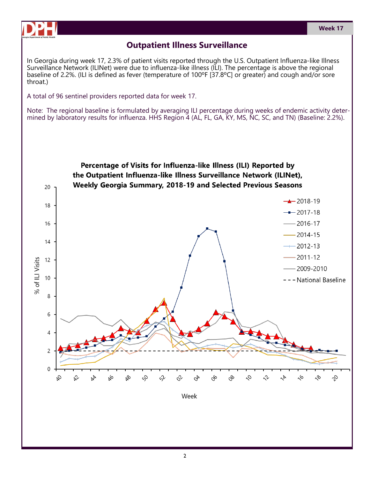

## **Outpatient Illness Surveillance**

In Georgia during week 17, 2.3% of patient visits reported through the U.S. Outpatient Influenza-like Illness Surveillance Network (ILINet) were due to influenza-like illness (ILI). The percentage is above the regional baseline of 2.2%. (ILI is defined as fever (temperature of 100ºF [37.8ºC] or greater) and cough and/or sore throat.)

A total of 96 sentinel providers reported data for week 17.

Note: The regional baseline is formulated by averaging ILI percentage during weeks of endemic activity determined by laboratory results for influenza. HHS Region 4 (AL, FL, GA, KY, MS, NC, SC, and TN) (Baseline: 2.2%).

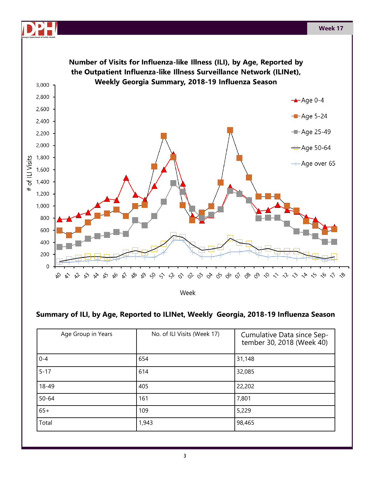

Week

#### **Summary of ILI, by Age, Reported to ILINet, Weekly Georgia, 2018-19 Influenza Season**

| Age Group in Years | No. of ILI Visits (Week 17) | Cumulative Data since Sep-<br>tember 30, 2018 (Week 40) |
|--------------------|-----------------------------|---------------------------------------------------------|
| $0 - 4$            | 654                         | 31,148                                                  |
| $5 - 17$           | 614                         | 32,085                                                  |
| 18-49              | 405                         | 22,202                                                  |
| $50 - 64$          | 161                         | 7,801                                                   |
| $65+$              | 109                         | 5,229                                                   |
| Total              | 1,943                       | 98,465                                                  |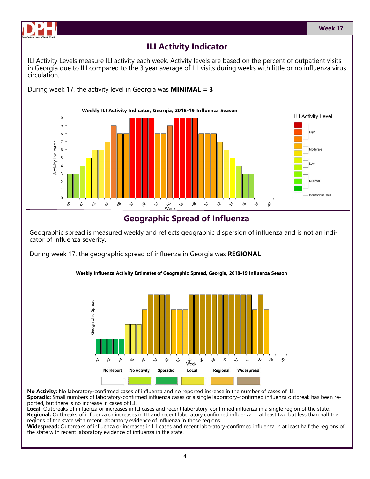



## **ILI Activity Indicator**

ILI Activity Levels measure ILI activity each week. Activity levels are based on the percent of outpatient visits in Georgia due to ILI compared to the 3 year average of ILI visits during weeks with little or no influenza virus circulation.

During week 17, the activity level in Georgia was **MINIMAL = 3**



#### **Geographic Spread of Influenza**

Geographic spread is measured weekly and reflects geographic dispersion of influenza and is not an indicator of influenza severity.

During week 17, the geographic spread of influenza in Georgia was **REGIONAL**



Weekly Influenza Activity Estimates of Geographic Spread, Georgia, 2018-19 Influenza Season

**No Activity:** No laboratory-confirmed cases of influenza and no reported increase in the number of cases of ILI. **Sporadic:** Small numbers of laboratory-confirmed influenza cases or a single laboratory-confirmed influenza outbreak has been reported, but there is no increase in cases of ILI.

**Local:** Outbreaks of influenza or increases in ILI cases and recent laboratory-confirmed influenza in a single region of the state. **Regional:** Outbreaks of influenza or increases in ILI and recent laboratory confirmed influenza in at least two but less than half the regions of the state with recent laboratory evidence of influenza in those regions.

**Widespread:** Outbreaks of influenza or increases in ILI cases and recent laboratory-confirmed influenza in at least half the regions of the state with recent laboratory evidence of influenza in the state.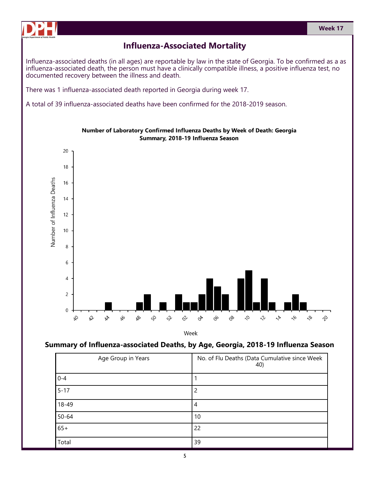

### **Influenza-Associated Mortality**

Influenza-associated deaths (in all ages) are reportable by law in the state of Georgia. To be confirmed as a as influenza-associated death, the person must have a clinically compatible illness, a positive influenza test, no documented recovery between the illness and death.

There was 1 influenza-associated death reported in Georgia during week 17.

A total of 39 influenza-associated deaths have been confirmed for the 2018-2019 season.



Number of Laboratory Confirmed Influenza Deaths by Week of Death: Georgia Summary, 2018-19 Influenza Season

Week

#### **Summary of Influenza-associated Deaths, by Age, Georgia, 2018-19 Influenza Season**

| Age Group in Years | No. of Flu Deaths (Data Cumulative since Week<br>40) |
|--------------------|------------------------------------------------------|
| $0 - 4$            |                                                      |
| $5 - 17$           | 2                                                    |
| 18-49              | 4                                                    |
| $50 - 64$          | 10                                                   |
| $65+$              | 22                                                   |
| Total              | 39                                                   |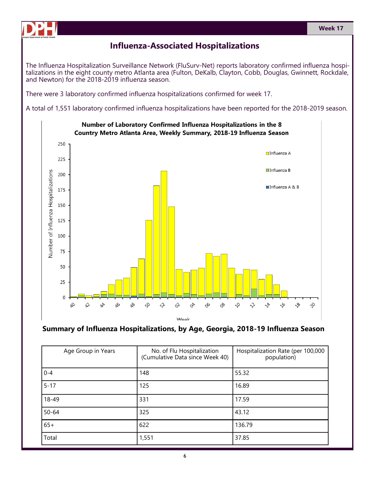

# **Influenza-Associated Hospitalizations**

The Influenza Hospitalization Surveillance Network (FluSurv-Net) reports laboratory confirmed influenza hospitalizations in the eight county metro Atlanta area (Fulton, DeKalb, Clayton, Cobb, Douglas, Gwinnett, Rockdale, and Newton) for the 2018-2019 influenza season.

There were 3 laboratory confirmed influenza hospitalizations confirmed for week 17.

A total of 1,551 laboratory confirmed influenza hospitalizations have been reported for the 2018-2019 season.





| Age Group in Years | No. of Flu Hospitalization<br>(Cumulative Data since Week 40) | Hospitalization Rate (per 100,000<br>population) |
|--------------------|---------------------------------------------------------------|--------------------------------------------------|
| $0 - 4$            | 148                                                           | 55.32                                            |
| $5 - 17$           | 125                                                           | 16.89                                            |
| 18-49              | 331                                                           | 17.59                                            |
| $50 - 64$          | 325                                                           | 43.12                                            |
| $65+$              | 622                                                           | 136.79                                           |
| Total              | 1,551                                                         | 37.85                                            |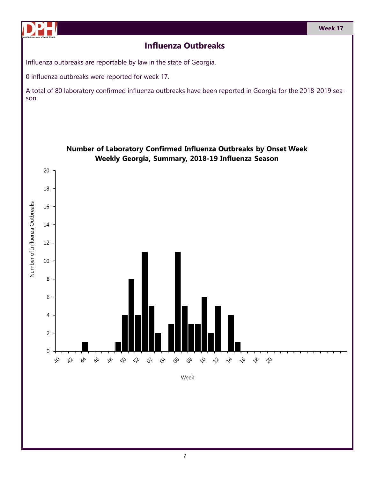

# **Influenza Outbreaks**

Influenza outbreaks are reportable by law in the state of Georgia.

0 influenza outbreaks were reported for week 17.

A total of 80 laboratory confirmed influenza outbreaks have been reported in Georgia for the 2018-2019 season.

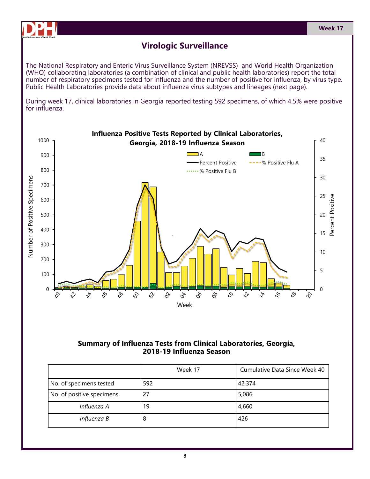

The National Respiratory and Enteric Virus Surveillance System (NREVSS) and World Health Organization (WHO) collaborating laboratories (a combination of clinical and public health laboratories) report the total number of respiratory specimens tested for influenza and the number of positive for influenza, by virus type. Public Health Laboratories provide data about influenza virus subtypes and lineages (next page).

During week 17, clinical laboratories in Georgia reported testing 592 specimens, of which 4.5% were positive for influenza.



**Summary of Influenza Tests from Clinical Laboratories, Georgia, 2018-19 Influenza Season**

|                           | Week 17 | Cumulative Data Since Week 40 |
|---------------------------|---------|-------------------------------|
| No. of specimens tested   | 592     | 42,374                        |
| No. of positive specimens | 27      | 5,086                         |
| Influenza A               | 19      | 4,660                         |
| Influenza B               | 8       | 426                           |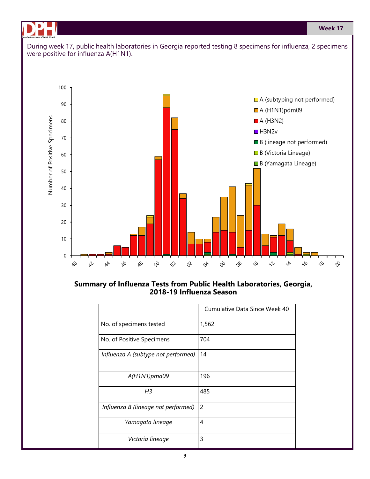**Week 17**



#### **Summary of Influenza Tests from Public Health Laboratories, Georgia, 2018-19 Influenza Season**

|                                     | Cumulative Data Since Week 40 |
|-------------------------------------|-------------------------------|
| No. of specimens tested             | 1,562                         |
| No. of Positive Specimens           | 704                           |
| Influenza A (subtype not performed) | 14                            |
| $A(H1N1)$ pmd09                     | 196                           |
| H3                                  | 485                           |
| Influenza B (lineage not performed) | 2                             |
| Yamagata lineage                    | 4                             |
| Victoria lineage                    | 3                             |